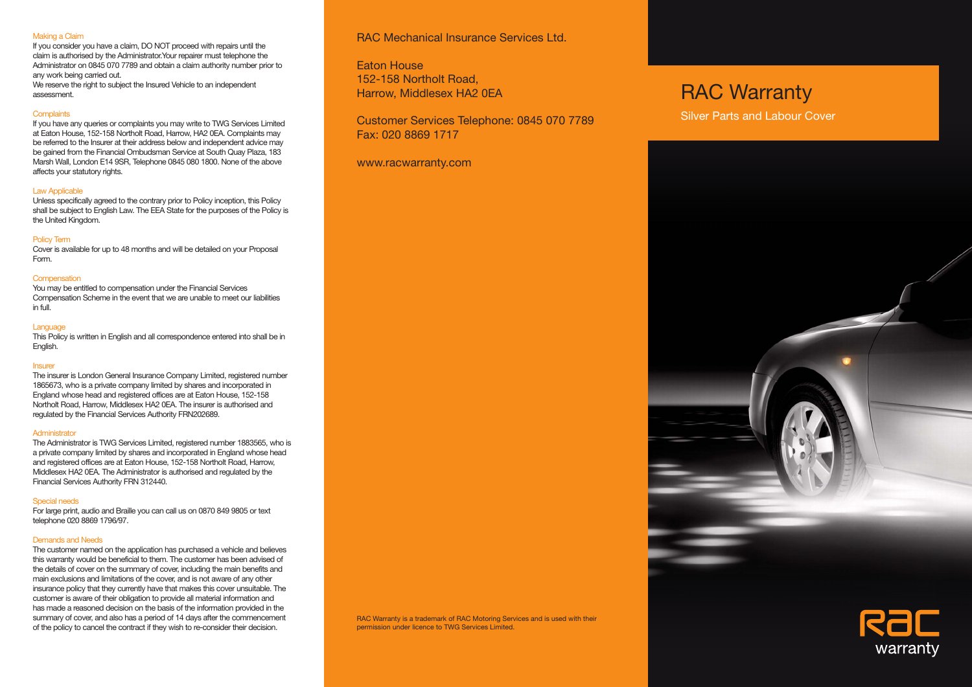#### Making a Claim

If you consider you have a claim, DO NOT proceed with repairs until the claim is authorised by the Administrator.Your repairer must telephone the Administrator on 0845 070 7789 and obtain a claim authority number prior to any work being carried out. We reserve the right to subject the Insured Vehicle to an independent

assessment.

#### **Complaints**

If you have any queries or complaints you may write to TWG Services Limited at Eaton House, 152-158 Northolt Road, Harrow, HA2 0EA. Complaints may be referred to the Insurer at their address below and independent advice may be gained from the Financial Ombudsman Service at South Quay Plaza, 183 Marsh Wall, London E14 9SR, Telephone 0845 080 1800. None of the above affects your statutory rights.

#### Law Applicable

Unless specifically agreed to the contrary prior to Policy inception, this Policy shall be subject to English Law. The EEA State for the purposes of the Policy is the United Kingdom.

#### Policy Term

Cover is available for up to 48 months and will be detailed on your Proposal Form.

#### **Compensation**

You may be entitled to compensation under the Financial Services Compensation Scheme in the event that we are unable to meet our liabilities in full.

### Language

This Policy is written in English and all correspondence entered into shall be in English.

#### **Insurer**

The insurer is London General Insurance Company Limited, registered number 1865673, who is a private company limited by shares and incorporated in England whose head and registered offices are at Eaton House, 152-158 Northolt Road, Harrow, Middlesex HA2 0EA. The insurer is authorised and regulated by the Financial Services Authority FRN202689.

#### **Administrator**

The Administrator is TWG Services Limited, registered number 1883565, who is a private company limited by shares and incorporated in England whose head and registered offices are at Eaton House, 152-158 Northolt Road, Harrow, Middlesex HA2 0EA. The Administrator is authorised and regulated by the Financial Services Authority FRN 312440.

#### Special needs

For large print, audio and Braille you can call us on 0870 849 9805 or text telephone 020 8869 1796/97.

#### Demands and Needs

The customer named on the application has purchased a vehicle and believes this warranty would be beneficial to them. The customer has been advised of the details of cover on the summary of cover, including the main benefits and main exclusions and limitations of the cover, and is not aware of any other insurance policy that they currently have that makes this cover unsuitable. The customer is aware of their obligation to provide all material information and has made a reasoned decision on the basis of the information provided in the summary of cover, and also has a period of 14 days after the commencement of the policy to cancel the contract if they wish to re-consider their decision.

# RAC Mechanical Insurance Services Ltd.

Eaton House 152-158 Northolt Road, Harrow, Middlesex HA2 0EA

Customer Services Telephone: 0845 070 7789 Fax: 020 8869 1717

www.racwarranty.com

RAC Warranty is a trademark of RAC Motoring Services and is used with their permission under licence to TWG Services Limited.

# RAC Warranty

Silver Parts and Labour Cover